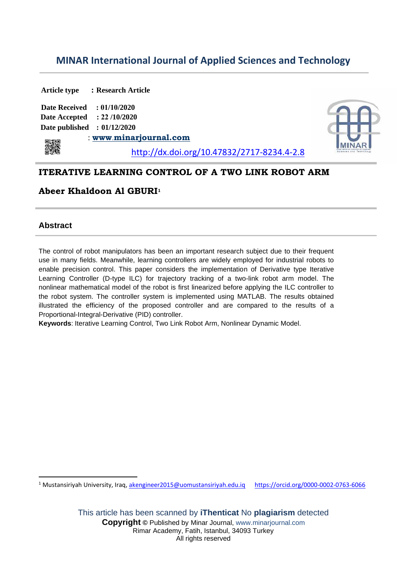# **MINAR International Journal of Applied Sciences and Technology**

**Article type : Research Article Date Received : 01/10/2020 Date Accepted : 22 /10/2020 Date published : 01/12/2020** : **[www](http://www.ijler.net/)**[.](http://www.ijler.net/)**[m](http://www.ijler.net/)inarjournal.com** http://dx.doi.org/10.47832/2717-8234.4-2.8

## **ITERATIVE LEARNING CONTROL OF A TWO LINK ROBOT ARM**

## **Abeer Khaldoon Al GBURI<sup>1</sup>**

## **Abstract**

The control of robot manipulators has been an important research subject due to their frequent use in many fields. Meanwhile, learning controllers are widely employed for industrial robots to enable precision control. This paper considers the implementation of Derivative type Iterative Learning Controller (D-type ILC) for trajectory tracking of a two-link robot arm model. The nonlinear mathematical model of the robot is first linearized before applying the ILC controller to the robot system. The controller system is implemented using MATLAB. The results obtained illustrated the efficiency of the proposed controller and are compared to the results of a Proportional-Integral-Derivative (PID) controller.

**Keywords**: Iterative Learning Control, Two Link Robot Arm, Nonlinear Dynamic Model.

<sup>1</sup> Mustansiriyah University, Iraq, [akengineer2015@uomustansiriyah.edu.iq](mailto:akengineer2015@uomustansiriyah.edu.iq) https://orcid.org/0000-0002-0763-6066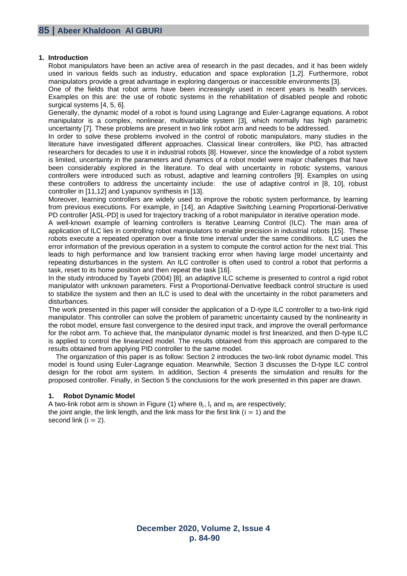### **1. Introduction**

Robot manipulators have been an active area of research in the past decades, and it has been widely used in various fields such as industry, education and space exploration [1,2]. Furthermore, robot manipulators provide a great advantage in exploring dangerous or inaccessible environments [3].

One of the fields that robot arms have been increasingly used in recent years is health services. Examples on this are: the use of robotic systems in the rehabilitation of disabled people and robotic surgical systems [4, 5, 6].

Generally, the dynamic model of a robot is found using Lagrange and Euler-Lagrange equations. A robot manipulator is a complex, nonlinear, multivariable system [3], which normally has high parametric uncertainty [7]. These problems are present in two link robot arm and needs to be addressed.

In order to solve these problems involved in the control of robotic manipulators, many studies in the literature have investigated different approaches. Classical linear controllers, like PID, has attracted researchers for decades to use it in industrial robots [8]. However, since the knowledge of a robot system is limited, uncertainty in the parameters and dynamics of a robot model were major challenges that have been considerably explored in the literature. To deal with uncertainty in robotic systems, various controllers were introduced such as robust, adaptive and learning controllers [9]. Examples on using these controllers to address the uncertainty include: the use of adaptive control in [8, 10], robust controller in [11,12] and Lyapunov synthesis in [13].

Moreover, learning controllers are widely used to improve the robotic system performance, by learning from previous executions. For example, in [14], an Adaptive Switching Learning Proportional-Derivative PD controller [ASL-PD] is used for trajectory tracking of a robot manipulator in iterative operation mode.

A well-known example of learning controllers is Iterative Learning Control (ILC). The main area of application of ILC lies in controlling robot manipulators to enable precision in industrial robots [15]. These robots execute a repeated operation over a finite time interval under the same conditions. ILC uses the error information of the previous operation in a system to compute the control action for the next trial. This leads to high performance and low transient tracking error when having large model uncertainty and repeating disturbances in the system. An ILC controller is often used to control a robot that performs a task, reset to its home position and then repeat the task [16].

In the study introduced by Tayebi (2004) [8], an adaptive ILC scheme is presented to control a rigid robot manipulator with unknown parameters. First a Proportional-Derivative feedback control structure is used to stabilize the system and then an ILC is used to deal with the uncertainty in the robot parameters and disturbances.

The work presented in this paper will consider the application of a D-type ILC controller to a two-link rigid manipulator. This controller can solve the problem of parametric uncertainty caused by the nonlinearity in the robot model, ensure fast convergence to the desired input track, and improve the overall performance for the robot arm. To achieve that, the manipulator dynamic model is first linearized, and then D-type ILC is applied to control the linearized model. The results obtained from this approach are compared to the results obtained from applying PID controller to the same model.

 The organization of this paper is as follow: Section 2 introduces the two-link robot dynamic model. This model is found using Euler-Lagrange equation. Meanwhile, Section 3 discusses the D-type ILC control design for the robot arm system. In addition, Section 4 presents the simulation and results for the proposed controller. Finally, in Section 5 the conclusions for the work presented in this paper are drawn.

## **1. Robot Dynamic Model**

A two-link robot arm is shown in Figure (1) where  $\theta_{\rm i}$ ,  ${\rm l}_{\rm i}$  and  ${\rm m}_{\rm i}$  are respectively; the joint angle, the link length, and the link mass for the first link  $(i = 1)$  and the second link  $(i = 2)$ .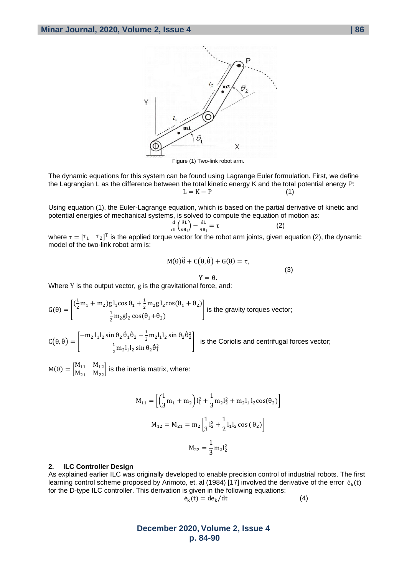

Figure (1) Two-link robot arm.

The dynamic equations for this system can be found using Lagrange Euler formulation. First, we define the Lagrangian L as the difference between the total kinetic energy K and the total potential energy P:  $L = K - P$  (1)

Using equation (1), the Euler-Lagrange equation, which is based on the partial derivative of kinetic and potential energies of mechanical systems, is solved to compute the equation of motion as:

$$
\frac{\mathrm{d}}{\mathrm{d}t} \left( \frac{\partial L}{\partial \dot{\theta}_i} \right) - \frac{\partial L}{\partial \theta_i} = \tau \tag{2}
$$

 $\frac{d\mathbf{t}}{dt}$   $\frac{d\mathbf{e}_i}{dt}$   $\frac{d\mathbf{e}_i}{dt}$ a  $\frac{d\mathbf{e}_i}{dt}$   $\frac{d\mathbf{e}_i}{dt}$   $\frac{d\mathbf{e}_i}{dt}$   $\frac{d\mathbf{e}_i}{dt}$   $\frac{d\mathbf{e}_i}{dt}$   $\frac{d\mathbf{e}_i}{dt}$   $\frac{d\mathbf{e}_i}{dt}$   $\frac{d\mathbf{e}_i}{dt}$   $\frac{d\mathbf{e}_i}{dt}$   $\frac{d\mathbf{e}_i}{dt}$ model of the two-link robot arm is:

$$
M(\theta)\ddot{\theta} + C(\theta, \dot{\theta}) + G(\theta) = \tau,
$$
  
 
$$
Y = \theta.
$$
 (3)

Where Y is the output vector, g is the gravitational force, and:

$$
G(\theta) = \begin{bmatrix} (\frac{1}{2}m_1 + m_2)g1_1\cos\theta_1 + \frac{1}{2}m_2g1_2\cos(\theta_1 + \theta_2) \\ \frac{1}{2}m_2gl_2\cos(\theta_1 + \theta_2) \end{bmatrix}
$$
 is the gravity torques vector;

 $C(\theta, \dot{\theta}) = \begin{bmatrix} -m_2 l_1 l_2 \sin \theta_2 \dot{\theta}_1 \dot{\theta}_2 - \frac{1}{2} \end{bmatrix}$  $\frac{1}{2}$  m<sub>2</sub> $l_1$ l<sub>2</sub> sin  $\theta_2 \dot{\theta}_2^2$ 1  $\frac{1}{2}$  m<sub>2</sub>l<sub>1</sub>l<sub>2</sub> sin  $\theta_2 \dot{\theta}_1^2$  is the Coriolis and centrifugal forces vector;

 $M(\theta) = \begin{bmatrix} M_{11} & M_{12} \\ M & M \end{bmatrix}$  $\begin{bmatrix}M_{11} & M_{12}\M_{21} & M_{22}\end{bmatrix}$  is the inertia matrix, where:

$$
M_{11} = \left[ \left( \frac{1}{3} m_1 + m_2 \right) l_1^2 + \frac{1}{3} m_2 l_2^2 + m_2 l_1 l_2 \cos(\theta_2) \right]
$$
  

$$
M_{12} = M_{21} = m_2 \left[ \frac{1}{3} l_2^2 + \frac{1}{2} l_1 l_2 \cos(\theta_2) \right]
$$
  

$$
M_{22} = \frac{1}{3} m_2 l_2^2
$$

#### **2. ILC Controller Design**

As explained earlier ILC was originally developed to enable precision control of industrial robots. The first learning control scheme proposed by Arimoto, et. al (1984) [17] involved the derivative of the error  $\dot{\bf e}_{\bf k}({\bf t})$ for the D-type ILC controller. This derivation is given in the following equations:

$$
\dot{\mathbf{e}}_{k}(t) = d\mathbf{e}_{k}/dt \tag{4}
$$

## **December 2020, Volume 2, Issue 4 p. 84-90**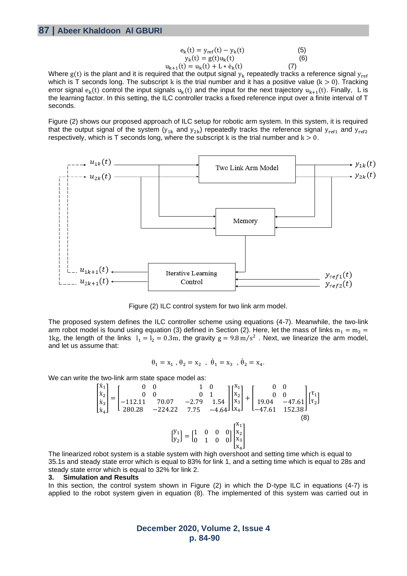| $e_k(t) = y_{ref}(t) - y_k(t)$           | (5) |
|------------------------------------------|-----|
| $y_k(t) = g(t)u_k(t)$                    | (6) |
| $u_{k+1}(t) = u_k(t) + L * \dot{e}_k(t)$ | (7) |

Where  ${\rm g(t)}$  is the plant and it is required that the output signal  ${\rm y_k}$  repeatedly tracks a reference signal  ${\rm y_{ref}}$ which is T seconds long. The subscript k is the trial number and it has a positive value ( $k > 0$ ). Tracking error signal  $e_k(t)$  control the input signals  $u_k(t)$  and the input for the next trajectory  $u_{k+1}(t)$ . Finally, L is the learning factor. In this setting, the ILC controller tracks a fixed reference input over a finite interval of T seconds.

Figure (2) shows our proposed approach of ILC setup for robotic arm system. In this system, it is required that the output signal of the system ( $y_{1k}$  and  $y_{2k}$ ) repeatedly tracks the reference signal  $y_{ref1}$  and  $y_{ref2}$ respectively, which is T seconds long, where the subscript k is the trial number and  $k > 0$ .



Figure (2) ILC control system for two link arm model.

The proposed system defines the ILC controller scheme using equations (4-7). Meanwhile, the two-link arm robot model is found using equation (3) defined in Section (2). Here, let the mass of links  $m_1 = m_2$  = 1kg, the length of the links  $l_1 = l_2 = 0.3$ m, the gravity  $g = 9.8$  m/s<sup>2</sup>. Next, we linearize the arm model, and let us assume that:

$$
\theta_1 = x_1 \; , \; \theta_2 = x_2 \; , \; \; \dot{\theta}_1 = x_3 \; , \; \dot{\theta}_2 = x_4.
$$

We can write the two-link arm state space model as:

$$
\begin{bmatrix} \dot{x}_1 \\ \dot{x}_2 \\ \dot{x}_3 \\ \dot{x}_4 \end{bmatrix} = \begin{bmatrix} 0 & 0 & 1 & 0 \\ 0 & 0 & 0 & 1 \\ -112.11 & 70.07 & -2.79 & 1.54 \\ 280.28 & -224.22 & 7.75 & -4.64 \end{bmatrix} \begin{bmatrix} x_1 \\ x_2 \\ x_3 \\ x_4 \end{bmatrix} + \begin{bmatrix} 0 & 0 \\ 0 & 0 \\ 19.04 & -47.61 \\ -47.61 & 152.38 \end{bmatrix} \begin{bmatrix} \tau_1 \\ \tau_2 \end{bmatrix}
$$
\n
$$
\begin{bmatrix} y_1 \\ y_2 \end{bmatrix} = \begin{bmatrix} 1 & 0 & 0 & 0 \\ 0 & 1 & 0 & 0 \end{bmatrix} \begin{bmatrix} x_1 \\ x_2 \\ x_3 \\ x_4 \end{bmatrix}
$$
\n(8)

The linearized robot system is a stable system with high overshoot and setting time which is equal to 35.1s and steady state error which is equal to 83% for link 1, and a setting time which is equal to 28s and steady state error which is equal to 32% for link 2.

#### **3. Simulation and Results**

In this section, the control system shown in Figure (2) in which the D-type ILC in equations (4-7) is applied to the robot system given in equation (8). The implemented of this system was carried out in

## **December 2020, Volume 2, Issue 4 p. 84-90**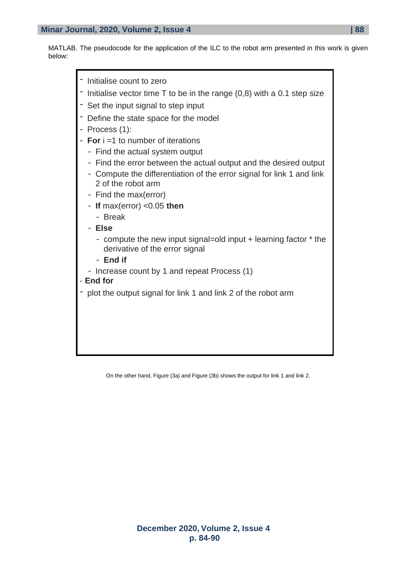MATLAB. The pseudocode for the application of the ILC to the robot arm presented in this work is given below:



On the other hand, Figure (3a) and Figure (3b) shows the output for link 1 and link 2.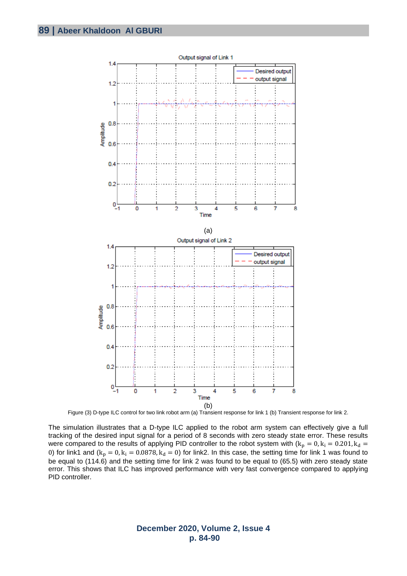

Figure (3) D-type ILC control for two link robot arm (a) Transient response for link 1 (b) Transient response for link 2.

The simulation illustrates that a D-type ILC applied to the robot arm system can effectively give a full tracking of the desired input signal for a period of 8 seconds with zero steady state error. These results were compared to the results of applying PID controller to the robot system with  $(k_p = 0, k_i = 0.201, k_d =$ 0) for link1 and  $(k_p = 0, k_i = 0.0878, k_d = 0)$  for link2. In this case, the setting time for link 1 was found to be equal to (114.6) and the setting time for link 2 was found to be equal to (65.5) with zero steady state error. This shows that ILC has improved performance with very fast convergence compared to applying PID controller.

> **December 2020, Volume 2, Issue 4 p. 84-90**